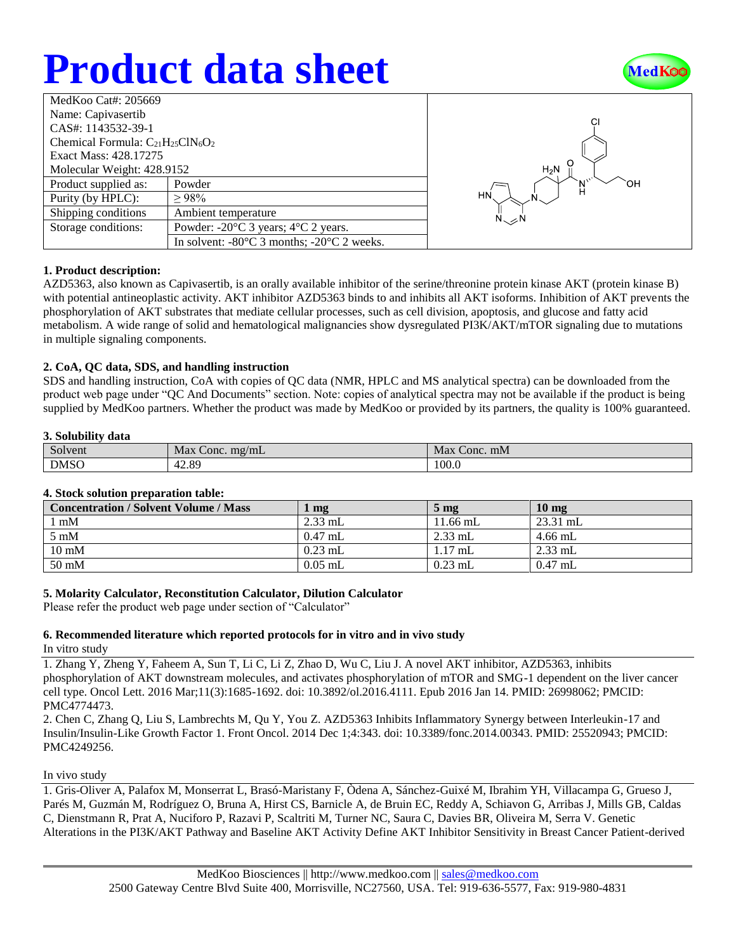# **Product data sheet**



| MedKoo Cat#: 205669                     |                                                                |  |  |  |
|-----------------------------------------|----------------------------------------------------------------|--|--|--|
| Name: Capivasertib                      |                                                                |  |  |  |
| CAS#: 1143532-39-1                      |                                                                |  |  |  |
| Chemical Formula: $C_{21}H_{25}CN_6O_2$ |                                                                |  |  |  |
| Exact Mass: 428.17275                   |                                                                |  |  |  |
| Molecular Weight: 428.9152              |                                                                |  |  |  |
| Product supplied as:                    | Powder                                                         |  |  |  |
| Purity (by HPLC):                       | >98%                                                           |  |  |  |
| Shipping conditions                     | Ambient temperature                                            |  |  |  |
| Storage conditions:                     | Powder: $-20^{\circ}$ C 3 years; $4^{\circ}$ C 2 years.        |  |  |  |
|                                         | In solvent: $-80^{\circ}$ C 3 months; $-20^{\circ}$ C 2 weeks. |  |  |  |



## **1. Product description:**

AZD5363, also known as Capivasertib, is an orally available inhibitor of the serine/threonine protein kinase AKT (protein kinase B) with potential antineoplastic activity. AKT inhibitor AZD5363 binds to and inhibits all AKT isoforms. Inhibition of AKT prevents the phosphorylation of AKT substrates that mediate cellular processes, such as cell division, apoptosis, and glucose and fatty acid metabolism. A wide range of solid and hematological malignancies show dysregulated PI3K/AKT/mTOR signaling due to mutations in multiple signaling components.

## **2. CoA, QC data, SDS, and handling instruction**

SDS and handling instruction, CoA with copies of QC data (NMR, HPLC and MS analytical spectra) can be downloaded from the product web page under "QC And Documents" section. Note: copies of analytical spectra may not be available if the product is being supplied by MedKoo partners. Whether the product was made by MedKoo or provided by its partners, the quality is 100% guaranteed.

### **3. Solubility data**

| $\sim$      | Max                | Max      |
|-------------|--------------------|----------|
| Solvent     | $\tau$ Conc. mg/mL | Conc. mM |
| <b>DMSO</b> | 12.89<br>д.,       | 100.0    |

## **4. Stock solution preparation table:**

| <b>Concentration / Solvent Volume / Mass</b> | mg        | $5 \text{ mg}$ | 10 <sub>mg</sub> |
|----------------------------------------------|-----------|----------------|------------------|
| l mM                                         | $2.33$ mL | 11.66 mL       | $23.31$ mL       |
| $5 \text{ mM}$                               | $0.47$ mL | $2.33$ mL      | $4.66$ mL        |
| $10 \text{ mM}$                              | $0.23$ mL | $1.17$ mL      | $2.33$ mL        |
| $50 \text{ mM}$                              | $0.05$ mL | $0.23$ mL      | $0.47$ mL        |

## **5. Molarity Calculator, Reconstitution Calculator, Dilution Calculator**

Please refer the product web page under section of "Calculator"

## **6. Recommended literature which reported protocols for in vitro and in vivo study**

In vitro study

1. Zhang Y, Zheng Y, Faheem A, Sun T, Li C, Li Z, Zhao D, Wu C, Liu J. A novel AKT inhibitor, AZD5363, inhibits phosphorylation of AKT downstream molecules, and activates phosphorylation of mTOR and SMG-1 dependent on the liver cancer cell type. Oncol Lett. 2016 Mar;11(3):1685-1692. doi: 10.3892/ol.2016.4111. Epub 2016 Jan 14. PMID: 26998062; PMCID: PMC4774473.

2. Chen C, Zhang Q, Liu S, Lambrechts M, Qu Y, You Z. AZD5363 Inhibits Inflammatory Synergy between Interleukin-17 and Insulin/Insulin-Like Growth Factor 1. Front Oncol. 2014 Dec 1;4:343. doi: 10.3389/fonc.2014.00343. PMID: 25520943; PMCID: PMC4249256.

In vivo study

1. Gris-Oliver A, Palafox M, Monserrat L, Brasó-Maristany F, Òdena A, Sánchez-Guixé M, Ibrahim YH, Villacampa G, Grueso J, Parés M, Guzmán M, Rodríguez O, Bruna A, Hirst CS, Barnicle A, de Bruin EC, Reddy A, Schiavon G, Arribas J, Mills GB, Caldas C, Dienstmann R, Prat A, Nuciforo P, Razavi P, Scaltriti M, Turner NC, Saura C, Davies BR, Oliveira M, Serra V. Genetic Alterations in the PI3K/AKT Pathway and Baseline AKT Activity Define AKT Inhibitor Sensitivity in Breast Cancer Patient-derived